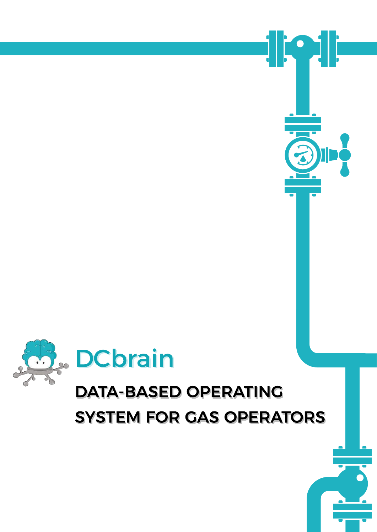

## **DATA-BASED OPERATING SYSTEM FOR GAS OPERATORS**



<u>ili</u>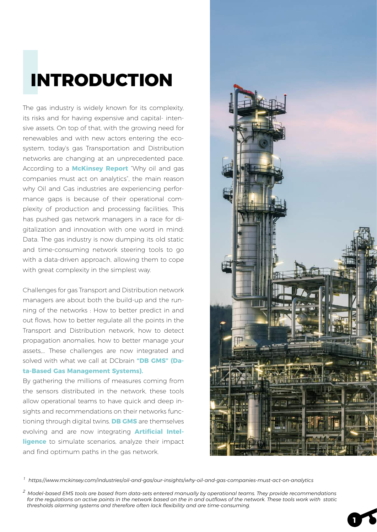# I **INTRODUCTION**

The gas industry is widely known for its complexity, its risks and for having expensive and capital- intensive assets. On top of that, with the growing need for renewables and with new actors entering the ecosystem, today's gas Transportation and Distribution networks are changing at an unprecedented pace. According to a **McKinsey Report** "Why oil and gas companies must act on analytics", the main reason why Oil and Gas industries are experiencing performance gaps is because of their operational complexity of production and processing facilities. This has pushed gas network managers in a race for digitalization and innovation with one word in mind: Data. The gas industry is now dumping its old static and time-consuming network steering tools to go with a data-driven approach, allowing them to cope with great complexity in the simplest way.

Challenges for gas Transport and Distribution network managers are about both the build-up and the running of the networks : How to better predict in and out flows, how to better regulate all the points in the Transport and Distribution network, how to detect propagation anomalies, how to better manage your assets,… These challenges are now integrated and solved with what we call at DCbrain **"DB GMS" (Data-Based Gas Management Systems).** 

By gathering the millions of measures coming from the sensors distributed in the network, these tools allow operational teams to have quick and deep insights and recommendations on their networks functioning through digital twins. **DB GMS** are themselves evolving and are now integrating **Artificial Intelligence** to simulate scenarios, analyze their impact and find optimum paths in the gas network.



**1**

 *1 https://www.mckinsey.com/industries/oil-and-gas/our-insights/why-oil-and-gas-companies-must-act-on-analytics*

*<sup>2</sup> Model-based EMS tools are based from data-sets entered manually by operational teams. They provide recommendations for the regulations on active points in the network based on the in and outflows of the network. These tools work with static thresholds alarming systems and therefore often lack flexibility and are time-consuming.*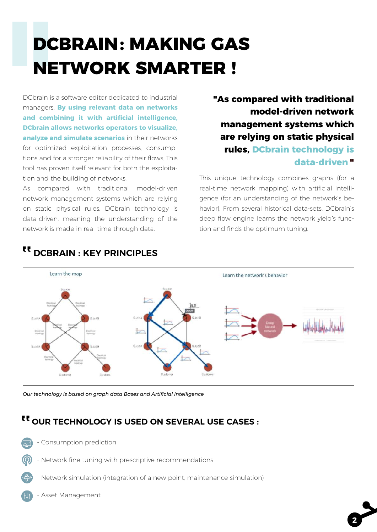## **D DCBRAIN : MAKING GAS NETWORK SMARTER !**

DCbrain is a software editor dedicated to industrial managers. **By using relevant data on networks and combining it with artificial intelligence, DCbrain allows networks operators to visualize, analyze and simulate scenarios** in their networks for optimized exploitation processes, consumptions and for a stronger reliability of their flows. This tool has proven itself relevant for both the exploitation and the building of networks.

As compared with traditional model-driven network management systems which are relying on static physical rules, DCbrain technology is data-driven, meaning the understanding of the network is made in real-time through data.

### **"As compared with traditional model-driven network management systems which are relying on static physical rules, DCbrain technology is data-driven "**

This unique technology combines graphs (for a real-time network mapping) with artificial intelligence (for an understanding of the network's behavior). From several historical data-sets, DCbrain's deep flow engine learns the network yield's function and finds the optimum tuning.

**2**



## <sup>tt</sup> DCBRAIN : KEY PRINCIPLES

*Our technology is based on graph data Bases and Artificial Intelligence*

### <sup>tt</sup> OUR TECHNOLOGY IS USED ON SEVERAL USE CASES :

- Consumption prediction
- Network fine tuning with prescriptive recommendations
- Network simulation (integration of a new point, maintenance simulation)
- Asset Management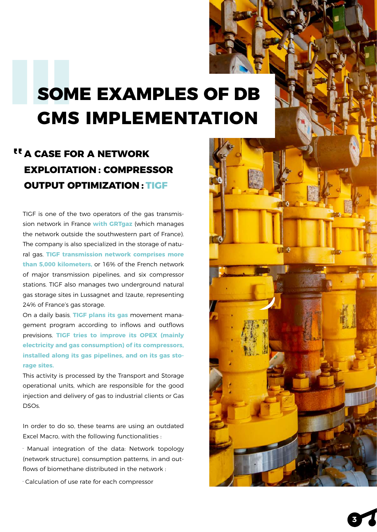## **SOME EXAMPLES OF DB GMS IMPLEMENTATION**

## <sup>tt</sup> A CASE FOR A NETWORK **EXPLOITATION : COMPRESSOR OUTPUT OPTIMIZATION : TIGF**

TIGF is one of the two operators of the gas transmission network in France **with GRTgaz** (which manages the network outside the southwestern part of France). The company is also specialized in the storage of natural gas. **TIGF transmission network comprises more than 5,000 kilometers,** or 16% of the French network of major transmission pipelines, and six compressor stations. TIGF also manages two underground natural gas storage sites in Lussagnet and Izaute, representing 24% of France's gas storage.

On a daily basis, **TIGF plans its gas** movement management program according to inflows and outflows previsions. **TIGF tries to improve its OPEX (mainly electricity and gas consumption) of its compressors, installed along its gas pipelines, and on its gas storage sites.**

This activity is processed by the Transport and Storage operational units, which are responsible for the good injection and delivery of gas to industrial clients or Gas DSOs.

In order to do so, these teams are using an outdated Excel Macro, with the following functionalities :

· Manual integration of the data: Network topology (network structure), consumption patterns, in and outflows of biomethane distributed in the network :

· Calculation of use rate for each compressor

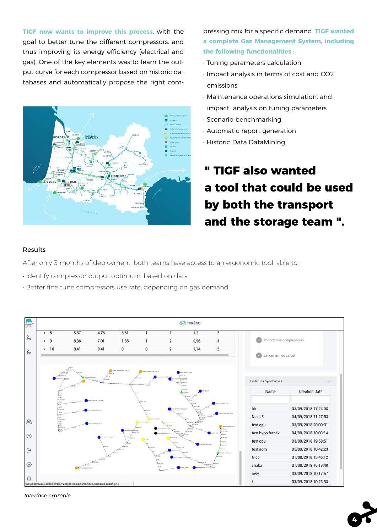**TIGF now wants to improve this process**, with the goal to better tune the different compressors, and thus improving its energy efficiency (electrical and gas). One of the key elements was to learn the output curve for each compressor based on historic databases and automatically propose the right com-



pressing mix for a specific demand. **TIGF wanted a complete Gaz Management System, including the following functionalities :**

- Tuning parameters calculation
- Impact analysis in terms of cost and CO2 emissions
- Maintenance operations simulation, and impact analysis on tuning parameters
- Scenario benchmarking
- Automatic report generation
- Historic Data DataMining

## **" TIGF also wanted a tool that could be used by both the transport and the storage team ".**

#### Results

After only 3 months of deployment, both teams have access to an ergonomic tool, able to :

- Identify compressor output optimum, based on data
- Better fine tune compressors use rate, depending on gas demand



*Interface example*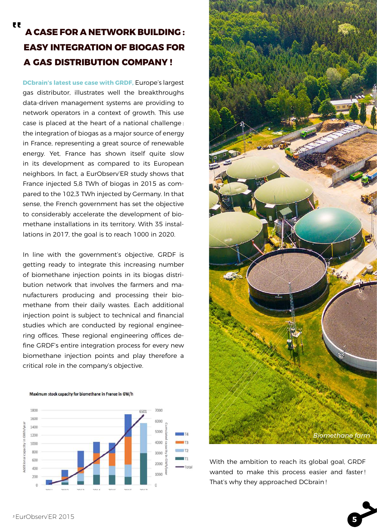### **A CASE FOR A NETWORK BUILDING : EASY INTEGRATION OF BIOGAS FOR A GAS DISTRIBUTION COMPANY !**

**DCbrain's latest use case with GRDF,** Europe's largest gas distributor, illustrates well the breakthroughs data-driven management systems are providing to network operators in a context of growth. This use case is placed at the heart of a national challenge : the integration of biogas as a major source of energy in France, representing a great source of renewable energy. Yet, France has shown itself quite slow in its development as compared to its European neighbors. In fact, a EurObserv'ER study shows that France injected 5,8 TWh of biogas in 2015 as compared to the 102,3 TWh injected by Germany. In that sense, the French government has set the objective to considerably accelerate the development of biomethane installations in its territory. With 35 installations in 2017, the goal is to reach 1000 in 2020.

In line with the government's objective, GRDF is getting ready to integrate this increasing number of biomethane injection points in its biogas distribution network that involves the farmers and manufacturers producing and processing their biomethane from their daily wastes. Each additional injection point is subject to technical and financial studies which are conducted by regional engineering offices. These regional engineering offices define GRDF's entire integration process for every new biomethane injection points and play therefore a critical role in the company's objective.







With the ambition to reach its global goal, GRDF wanted to make this process easier and faster ! That's why they approached DCbrain !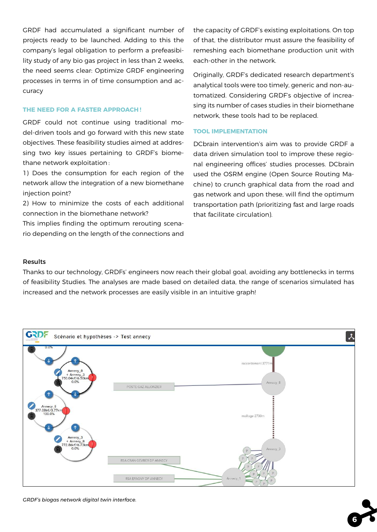GRDF had accumulated a significant number of projects ready to be launched. Adding to this the company's legal obligation to perform a prefeasibility study of any bio gas project in less than 2 weeks, the need seems clear: Optimize GRDF engineering processes in terms in of time consumption and accuracy

#### **THE NEED FOR A FASTER APPROACH !**

GRDF could not continue using traditional model-driven tools and go forward with this new state objectives. These feasibility studies aimed at addressing two key issues pertaining to GRDF's biomethane network exploitation :

1) Does the consumption for each region of the network allow the integration of a new biomethane injection point?

2) How to minimize the costs of each additional connection in the biomethane network?

This implies finding the optimum rerouting scenario depending on the length of the connections and the capacity of GRDF's existing exploitations. On top of that, the distributor must assure the feasibility of remeshing each biomethane production unit with each-other in the network.

Originally, GRDF's dedicated research department's analytical tools were too timely, generic and non-automatized. Considering GRDF's objective of increasing its number of cases studies in their biomethane network, these tools had to be replaced.

#### **TOOL IMPLEMENTATION**

DCbrain intervention's aim was to provide GRDF a data driven simulation tool to improve these regional engineering offices' studies processes. DCbrain used the OSRM engine (Open Source Routing Machine) to crunch graphical data from the road and gas network and upon these, will find the optimum transportation path (prioritizing fast and large roads that facilitate circulation).

**6**

#### Results

Thanks to our technology, GRDFs' engineers now reach their global goal, avoiding any bottlenecks in terms of feasibility Studies. The analyses are made based on detailed data, the range of scenarios simulated has increased and the network processes are easily visible in an intuitive graph!



*GRDF's biogas network digital twin interface.*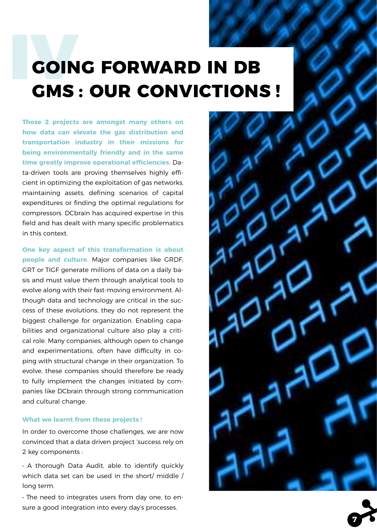## **GOING FORWARD IN DB GMS : OUR CONVICTIONS !**

**Those 2 projects are amongst many others on how data can elevate the gas distribution and transportation industry in their missions for being environmentally friendly and in the same time greatly improve operational efficiencies.** Data-driven tools are proving themselves highly efficient in optimizing the exploitation of gas networks, maintaining assets, defining scenarios of capital expenditures or finding the optimal regulations for compressors. DCbrain has acquired expertise in this field and has dealt with many specific problematics in this context.

**One key aspect of this transformation is about people and culture.** Major companies like GRDF, GRT or TIGF generate millions of data on a daily basis and must value them through analytical tools to evolve along with their fast-moving environment. Although data and technology are critical in the success of these evolutions, they do not represent the biggest challenge for organization. Enabling capabilities and organizational culture also play a critical role. Many companies, although open to change and experimentations, often have difficulty in coping with structural change in their organization. To evolve, these companies should therefore be ready to fully implement the changes initiated by companies like DCbrain through strong communication and cultural change.

#### **What we learnt from these projects !**

In order to overcome those challenges, we are now convinced that a data driven project 'success rely on 2 key components :

• A thorough Data Audit, able to identify quickly which data set can be used in the short/ middle / long term.

• The need to integrates users from day one, to ensure a good integration into every day's processes.



**7**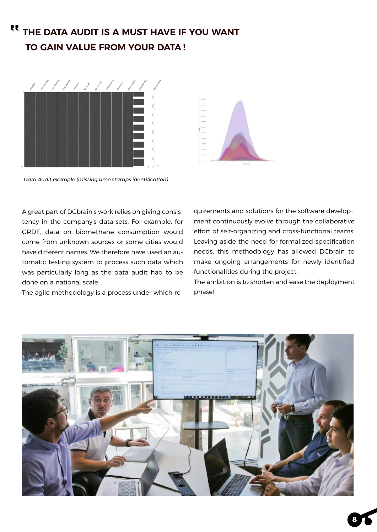#### **THE DATA AUDIT IS A MUST HAVE IF YOU WANT TO GAIN VALUE FROM YOUR DATA !** "



*Data Audit example (missing time stamps identification)*

A great part of DCbrain's work relies on giving consistency in the company's data-sets. For example, for GRDF, data on biomethane consumption would come from unknown sources or some cities would have different names. We therefore have used an automatic testing system to process such data which was particularly long as the data audit had to be done on a national scale.

The agile methodology is a process under which re



quirements and solutions for the software development continuously evolve through the collaborative effort of self-organizing and cross-functional teams. Leaving aside the need for formalized specification needs, this methodology has allowed DCbrain to make ongoing arrangements for newly identified functionalities during the project.

The ambition is to shorten and ease the deployment phase!